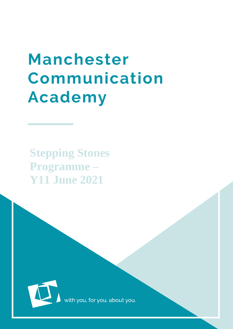# **Manchester** Communication **Academy**

**Stepping Stones Programme – Y11 June 2021**



ith you, for you, about you.

 $\mathcal{M}_{\mathcal{S}}$  , the stochastic programme  $\mathcal{S}_{\mathcal{S}}$  , the stochastic programme  $\mathcal{S}_{\mathcal{S}}$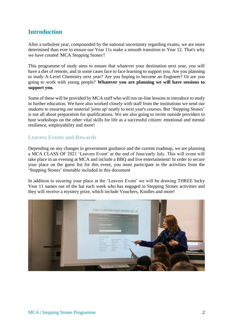#### **Introduction**

After a turbulent year, compounded by the national uncertainty regarding exams, we are more determined than ever to ensure our Year 11s make a smooth transition to Year 12. That's why we have created 'MCA Stepping Stones'!

This programme of study aims to ensure that whatever your destination next year, you will have a diet of remote, and in some cases face to face learning to support you. Are you planning to study A-Level Chemistry next year? Are you hoping to become an Engineer? Or are you going to work with young people? **Whatever you are planning we will have sessions to support you.**

Some of these will be provided by MCA staff who will run on-line lessons to introduce to study in further education. We have also worked closely with staff from the institutions we send our students to ensuring our material 'joins up' neatly to next year's courses. But 'Stepping Stones' is not all about preparation for qualifications. We are also going to invite outside providers to host workshops on the other vital skills for life as a successful citizen: emotional and mental resilience, employability and more!

#### **Leavers Events and Rewards**

Depending on any changes to government guidance and the current roadmap, we are planning a MCA CLASS OF 2021 'Leavers Event' at the end of June/early July. This will event will take place in an evening at MCA and include a BBQ and live entertainment! In order to secure your place on the guest list for this event, you must participate in the activities from the 'Stepping Stones' timetable included in this document

In addition to securing your place at the 'Leavers Event' we will be drawing THREE lucky Year 11 names out of the hat each week who has engaged in Stepping Stones activities and they will receive a mystery prize, which include Vouchers, Kindles and more!

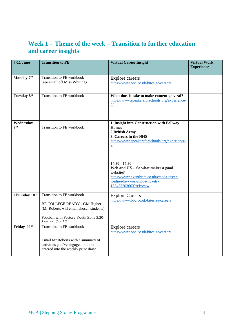# **Week 1 - Theme of the week – Transition to further education and career insights**

| $7-11$ June               | <b>Transition to FE</b>                                                                                                                                           | <b>Virtual Career Insight</b>                                                                                                                                               | <b>Virtual Work</b><br><b>Experience</b> |
|---------------------------|-------------------------------------------------------------------------------------------------------------------------------------------------------------------|-----------------------------------------------------------------------------------------------------------------------------------------------------------------------------|------------------------------------------|
|                           |                                                                                                                                                                   |                                                                                                                                                                             |                                          |
| Monday 7th                | Transition to FE workbook<br>(see email off Miss Whiting)                                                                                                         | <b>Explore careers</b><br>https://www.bbc.co.uk/bitesize/careers                                                                                                            |                                          |
| Tuesday 8 <sup>th</sup>   | Transition to FE workbook                                                                                                                                         | What does it take to make content go viral?<br>https://www.speakersforschools.org/experience-<br>2/                                                                         |                                          |
| Wednesday<br><b>gth</b>   | Transition to FE workbook                                                                                                                                         | 1. Insight into Construction with Bellway<br><b>Homes</b><br>2. British Army<br>3. Careers in the NHS<br>https://www.speakersforschools.org/experience-<br>2/               |                                          |
|                           |                                                                                                                                                                   | $14.30 - 15.30:$<br>Web and $UX - So$ what makes a good<br>website?<br>https://www.eventbrite.co.uk/e/soda-taster-<br>wednesday-workshops-tickets-<br>153453203663?ref=estw |                                          |
| Thursday 10 <sup>th</sup> | Transition to FE workbook<br>BE COLLEGE READY - GM Higher<br>(Mr Roberts will email chosen students)<br>Football with Factory Youth Zone 3.30-<br>5pm on 'Old 3G' | <b>Explore Careers</b><br>https://www.bbc.co.uk/bitesize/careers                                                                                                            |                                          |
| Friday 11 <sup>th</sup>   | <b>Transition to FE workbook</b><br>Email Mr Roberts with a summary of<br>activities you've engaged in to be<br>entered into the weekly prize draw                | <b>Explore careers</b><br>https://www.bbc.co.uk/bitesize/careers                                                                                                            |                                          |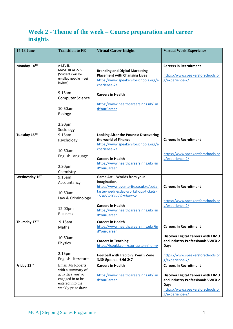# **Week 2 - Theme of the week – Course preparation and career insights**

| Monday 14TH<br>A-LEVEL<br><b>Careers in Recruitment</b><br>MASTERCALSSES<br><b>Branding and Digital Marketing</b><br>(Students will be<br><b>Placement with Changing Lives</b><br>https://www.speakersforschools.or<br>emailed google meet<br>https://www.speakersforschools.org/e<br>g/experience-2/<br>invites)<br>xperience-2/<br>9.15am<br><b>Careers in Health</b><br><b>Computer Science</b><br>https://www.healthcareers.nhs.uk/Fin<br>10.50am<br>dYourCareer<br><b>Biology</b><br>2.30pm<br>Sociology<br>Tuesday 15TH<br>9.15am<br><b>Looking After the Pounds: Discovering</b><br>the world of Finance<br><b>Careers in Recruitment</b><br>Psychology<br>https://www.speakersforschools.org/e<br>xperience-2/<br>10.50am<br>https://www.speakersforschools.or<br>English Language<br><b>Careers in Health</b><br>g/experience-2/<br>https://www.healthcareers.nhs.uk/Fin<br>2.30pm<br>dYourCareer<br>Chemistry<br>Wednesday 16TH<br>9.15am<br>Game Art - Worlds from your<br>imagination. | <b>Virtual Work Experience</b> |
|----------------------------------------------------------------------------------------------------------------------------------------------------------------------------------------------------------------------------------------------------------------------------------------------------------------------------------------------------------------------------------------------------------------------------------------------------------------------------------------------------------------------------------------------------------------------------------------------------------------------------------------------------------------------------------------------------------------------------------------------------------------------------------------------------------------------------------------------------------------------------------------------------------------------------------------------------------------------------------------------------|--------------------------------|
|                                                                                                                                                                                                                                                                                                                                                                                                                                                                                                                                                                                                                                                                                                                                                                                                                                                                                                                                                                                                    |                                |
|                                                                                                                                                                                                                                                                                                                                                                                                                                                                                                                                                                                                                                                                                                                                                                                                                                                                                                                                                                                                    |                                |
|                                                                                                                                                                                                                                                                                                                                                                                                                                                                                                                                                                                                                                                                                                                                                                                                                                                                                                                                                                                                    |                                |
|                                                                                                                                                                                                                                                                                                                                                                                                                                                                                                                                                                                                                                                                                                                                                                                                                                                                                                                                                                                                    |                                |
|                                                                                                                                                                                                                                                                                                                                                                                                                                                                                                                                                                                                                                                                                                                                                                                                                                                                                                                                                                                                    |                                |
|                                                                                                                                                                                                                                                                                                                                                                                                                                                                                                                                                                                                                                                                                                                                                                                                                                                                                                                                                                                                    |                                |
|                                                                                                                                                                                                                                                                                                                                                                                                                                                                                                                                                                                                                                                                                                                                                                                                                                                                                                                                                                                                    |                                |
|                                                                                                                                                                                                                                                                                                                                                                                                                                                                                                                                                                                                                                                                                                                                                                                                                                                                                                                                                                                                    |                                |
| Accountancy<br>https://www.eventbrite.co.uk/e/soda-<br><b>Careers in Recruitment</b><br>taster-wednesday-workshops-tickets-<br>10.50am                                                                                                                                                                                                                                                                                                                                                                                                                                                                                                                                                                                                                                                                                                                                                                                                                                                             |                                |
| 153453203663?ref=estw<br>Law & Criminology<br>https://www.speakersforschools.or<br><b>Careers in Health</b><br>g/experience-2/<br>12.00pm<br>https://www.healthcareers.nhs.uk/Fin<br><b>Business</b><br>dYourCareer                                                                                                                                                                                                                                                                                                                                                                                                                                                                                                                                                                                                                                                                                                                                                                                |                                |
| Thursday 17TH<br>9.15am<br><b>Careers in Health</b><br>https://www.healthcareers.nhs.uk/Fin<br><b>Careers in Recruitment</b><br>Maths<br>dYourCareer                                                                                                                                                                                                                                                                                                                                                                                                                                                                                                                                                                                                                                                                                                                                                                                                                                               |                                |
| Discover Digital Careers with LJMU<br>10.50am<br>and Industry Professionals VWEX 2<br><b>Careers in Teaching</b><br>Physics<br>https://icould.com/stories/tennille-m/<br>Days                                                                                                                                                                                                                                                                                                                                                                                                                                                                                                                                                                                                                                                                                                                                                                                                                      |                                |
| 2.15pm<br><b>Football with Factory Youth Zone</b><br>https://www.speakersforschools.or<br>English Literature<br>3.30-5pm on 'Old 3G'<br>g/experience-2/                                                                                                                                                                                                                                                                                                                                                                                                                                                                                                                                                                                                                                                                                                                                                                                                                                            |                                |
| Friday $18^{\overline{1}\overline{1}}$<br><b>Email Mr Roberts</b><br><b>Careers in Health</b><br><b>Careers in Recruitment</b><br>with a summary of<br>activities you've<br>Discover Digital Careers with LJMU<br>https://www.healthcareers.nhs.uk/Fin<br>engaged in to be<br>dYourCareer<br>and Industry Professionals VWEX 2<br>entered into the<br>Days<br>weekly prize draw<br>https://www.speakersforschools.or<br>g/experience-2/                                                                                                                                                                                                                                                                                                                                                                                                                                                                                                                                                            |                                |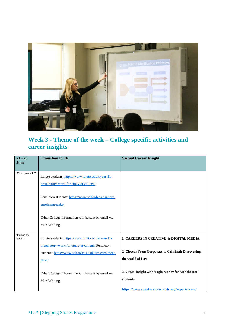

### **Week 3 - Theme of the week – College specific activities and career insights**

| $21 - 25$<br><b>June</b>           | <b>Transition to FE</b>                                                                                                                                                  | <b>Virtual Career Insight</b>                                                                                               |
|------------------------------------|--------------------------------------------------------------------------------------------------------------------------------------------------------------------------|-----------------------------------------------------------------------------------------------------------------------------|
| Monday 21ST                        | Loreto students: https://www.loreto.ac.uk/year-11-<br>preparatory-work-for-study-at-college/                                                                             |                                                                                                                             |
|                                    | Pendleton students: https://www.salfordcc.ac.uk/pre-<br>enrolment-tasks/                                                                                                 |                                                                                                                             |
|                                    | Other College information will be sent by email via<br><b>Miss Whiting</b>                                                                                               |                                                                                                                             |
| <b>Tuesday</b><br>22 <sup>ND</sup> | Loreto students: https://www.loreto.ac.uk/year-11-<br>preparatory-work-for-study-at-college/ Pendleton<br>students: https://www.salfordcc.ac.uk/pre-enrolment-<br>tasks/ | <b>1. CAREERS IN CREATIVE &amp; DIGITAL MEDIA</b><br>2. Closed: From Corporate to Criminal: Discovering<br>the world of Law |
|                                    | Other College information will be sent by email via<br><b>Miss Whiting</b>                                                                                               | 3. Virtual Insight with Virgin Money for Manchester<br>students<br>https://www.speakersforschools.org/experience-2/         |